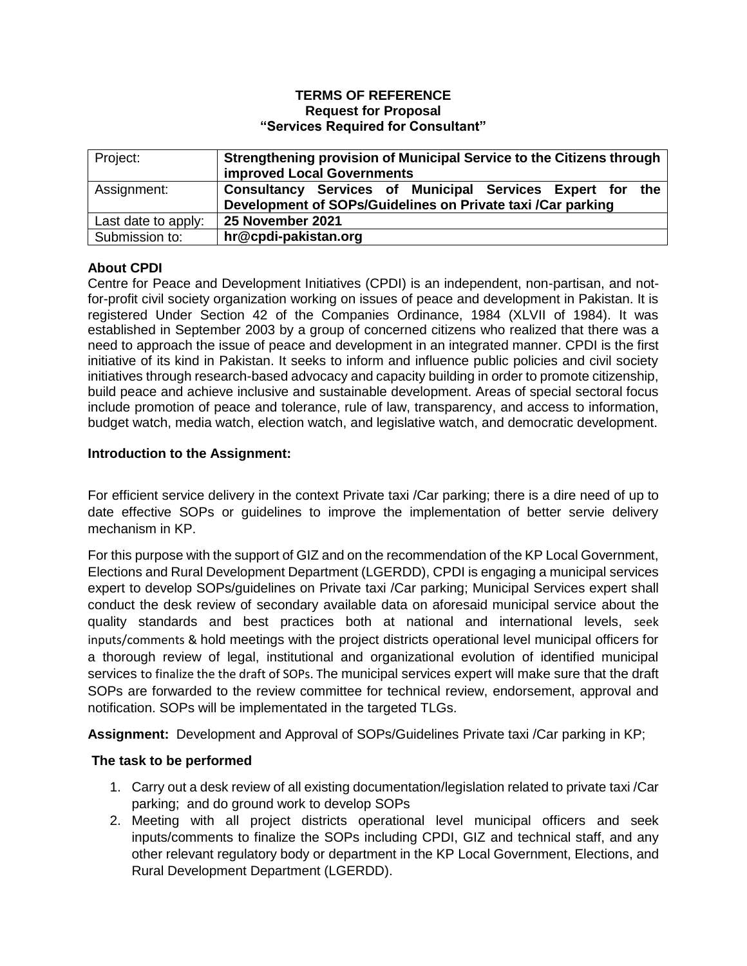#### **TERMS OF REFERENCE Request for Proposal "Services Required for Consultant"**

| Project:            | Strengthening provision of Municipal Service to the Citizens through<br><b>improved Local Governments</b> |
|---------------------|-----------------------------------------------------------------------------------------------------------|
| Assignment:         | Consultancy Services of Municipal Services Expert for the                                                 |
|                     | Development of SOPs/Guidelines on Private taxi /Car parking                                               |
| Last date to apply: | 25 November 2021                                                                                          |
| Submission to:      | hr@cpdi-pakistan.org                                                                                      |

# **About CPDI**

Centre for Peace and Development Initiatives (CPDI) is an independent, non-partisan, and notfor-profit civil society organization working on issues of peace and development in Pakistan. It is registered Under Section 42 of the Companies Ordinance, 1984 (XLVII of 1984). It was established in September 2003 by a group of concerned citizens who realized that there was a need to approach the issue of peace and development in an integrated manner. CPDI is the first initiative of its kind in Pakistan. It seeks to inform and influence public policies and civil society initiatives through research-based advocacy and capacity building in order to promote citizenship, build peace and achieve inclusive and sustainable development. Areas of special sectoral focus include promotion of peace and tolerance, rule of law, transparency, and access to information, budget watch, media watch, election watch, and legislative watch, and democratic development.

### **Introduction to the Assignment:**

For efficient service delivery in the context Private taxi /Car parking; there is a dire need of up to date effective SOPs or guidelines to improve the implementation of better servie delivery mechanism in KP.

For this purpose with the support of GIZ and on the recommendation of the KP Local Government, Elections and Rural Development Department (LGERDD), CPDI is engaging a municipal services expert to develop SOPs/guidelines on Private taxi /Car parking; Municipal Services expert shall conduct the desk review of secondary available data on aforesaid municipal service about the quality standards and best practices both at national and international levels, seek inputs/comments & hold meetings with the project districts operational level municipal officers for a thorough review of legal, institutional and organizational evolution of identified municipal services to finalize the the draft of SOPs. The municipal services expert will make sure that the draft SOPs are forwarded to the review committee for technical review, endorsement, approval and notification. SOPs will be implementated in the targeted TLGs.

**Assignment:** Development and Approval of SOPs/Guidelines Private taxi /Car parking in KP;

### **The task to be performed**

- 1. Carry out a desk review of all existing documentation/legislation related to private taxi /Car parking; and do ground work to develop SOPs
- 2. Meeting with all project districts operational level municipal officers and seek inputs/comments to finalize the SOPs including CPDI, GIZ and technical staff, and any other relevant regulatory body or department in the KP Local Government, Elections, and Rural Development Department (LGERDD).